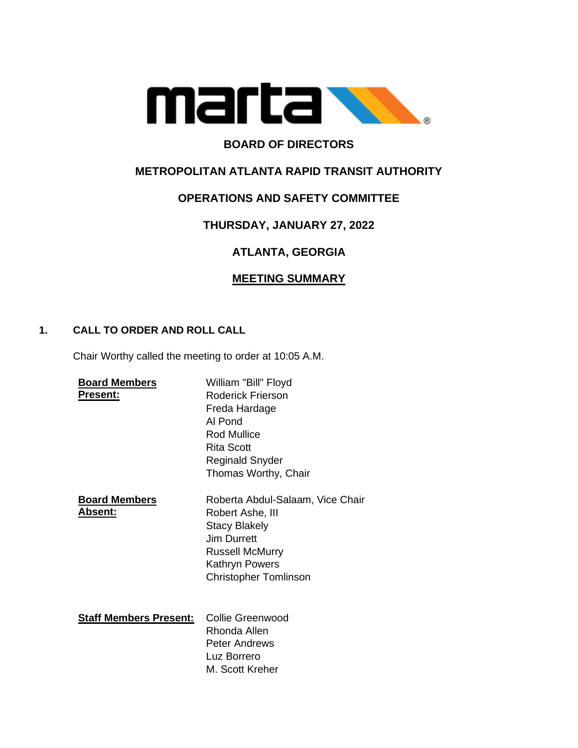

# **BOARD OF DIRECTORS**

# **METROPOLITAN ATLANTA RAPID TRANSIT AUTHORITY**

## **OPERATIONS AND SAFETY COMMITTEE**

# **THURSDAY, JANUARY 27, 2022**

# **ATLANTA, GEORGIA**

## **MEETING SUMMARY**

### **1. CALL TO ORDER AND ROLL CALL**

Chair Worthy called the meeting to order at 10:05 A.M.

| <b>Board Members</b><br>Present: | William "Bill" Floyd<br><b>Roderick Frierson</b><br>Freda Hardage<br>Al Pond<br>Rod Mullice<br>Rita Scott<br>Reginald Snyder<br>Thomas Worthy, Chair                    |
|----------------------------------|-------------------------------------------------------------------------------------------------------------------------------------------------------------------------|
| <b>Board Members</b><br>Absent:  | Roberta Abdul-Salaam, Vice Chair<br>Robert Ashe, III<br><b>Stacy Blakely</b><br>Jim Durrett<br><b>Russell McMurry</b><br>Kathryn Powers<br><b>Christopher Tomlinson</b> |
| <b>Staff Members Present:</b>    | Collie Greenwood<br>Rhonda Allen<br><b>Peter Andrews</b><br>Luz Borrero<br>M. Scott Kreher                                                                              |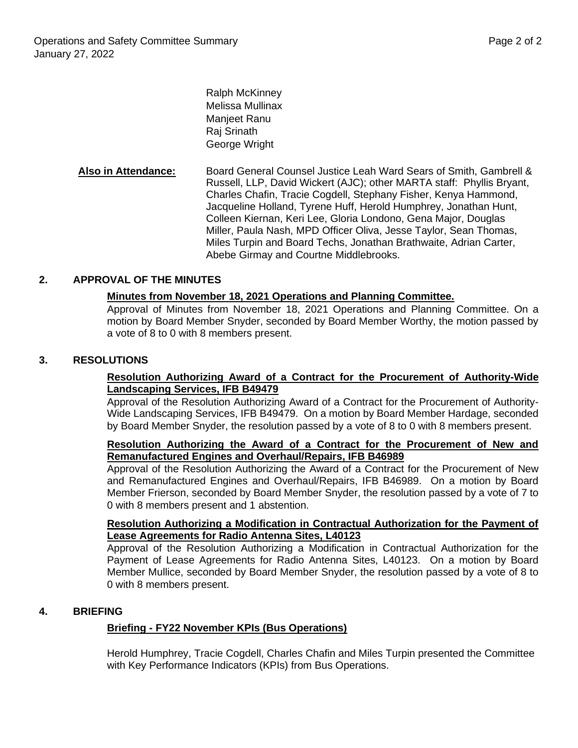Ralph McKinney Melissa Mullinax Manjeet Ranu Raj Srinath George Wright

**Also in Attendance:** Board General Counsel Justice Leah Ward Sears of Smith, Gambrell & Russell, LLP, David Wickert (AJC); other MARTA staff: Phyllis Bryant, Charles Chafin, Tracie Cogdell, Stephany Fisher, Kenya Hammond, Jacqueline Holland, Tyrene Huff, Herold Humphrey, Jonathan Hunt, Colleen Kiernan, Keri Lee, Gloria Londono, Gena Major, Douglas Miller, Paula Nash, MPD Officer Oliva, Jesse Taylor, Sean Thomas, Miles Turpin and Board Techs, Jonathan Brathwaite, Adrian Carter, Abebe Girmay and Courtne Middlebrooks.

### **2. APPROVAL OF THE MINUTES**

#### **Minutes from November 18, 2021 Operations and Planning Committee.**

Approval of Minutes from November 18, 2021 Operations and Planning Committee. On a motion by Board Member Snyder, seconded by Board Member Worthy, the motion passed by a vote of 8 to 0 with 8 members present.

#### **3. RESOLUTIONS**

#### **Resolution Authorizing Award of a Contract for the Procurement of Authority-Wide Landscaping Services, IFB B49479**

Approval of the Resolution Authorizing Award of a Contract for the Procurement of Authority-Wide Landscaping Services, IFB B49479. On a motion by Board Member Hardage, seconded by Board Member Snyder, the resolution passed by a vote of 8 to 0 with 8 members present.

### **Resolution Authorizing the Award of a Contract for the Procurement of New and Remanufactured Engines and Overhaul/Repairs, IFB B46989**

Approval of the Resolution Authorizing the Award of a Contract for the Procurement of New and Remanufactured Engines and Overhaul/Repairs, IFB B46989. On a motion by Board Member Frierson, seconded by Board Member Snyder, the resolution passed by a vote of 7 to 0 with 8 members present and 1 abstention.

#### **Resolution Authorizing a Modification in Contractual Authorization for the Payment of Lease Agreements for Radio Antenna Sites, L40123**

Approval of the Resolution Authorizing a Modification in Contractual Authorization for the Payment of Lease Agreements for Radio Antenna Sites, L40123. On a motion by Board Member Mullice, seconded by Board Member Snyder, the resolution passed by a vote of 8 to 0 with 8 members present.

### **4. BRIEFING**

### **Briefing - FY22 November KPIs (Bus Operations)**

Herold Humphrey, Tracie Cogdell, Charles Chafin and Miles Turpin presented the Committee with Key Performance Indicators (KPIs) from Bus Operations.